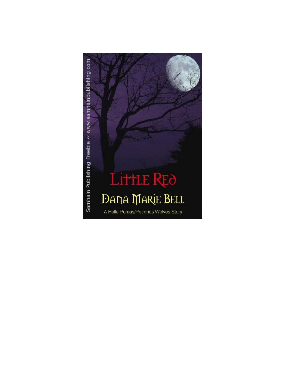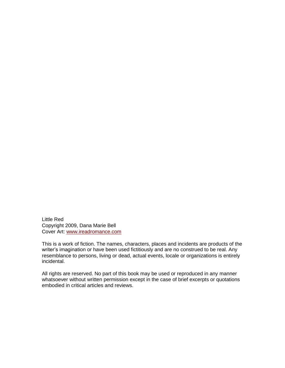Little Red Copyright 2009, Dana Marie Bell Cover Art: [www.ireadromance.com](http://www.ireadromance.com/)

This is a work of fiction. The names, characters, places and incidents are products of the writer's imagination or have been used fictitiously and are no construed to be real. Any resemblance to persons, living or dead, actual events, locale or organizations is entirely incidental.

All rights are reserved. No part of this book may be used or reproduced in any manner whatsoever without written permission except in the case of brief excerpts or quotations embodied in critical articles and reviews.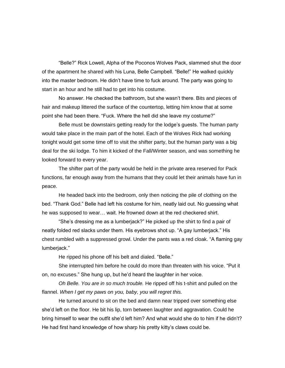"Belle?" Rick Lowell, Alpha of the Poconos Wolves Pack, slammed shut the door of the apartment he shared with his Luna, Belle Campbell. "Belle!" He walked quickly into the master bedroom. He didn't have time to fuck around. The party was going to start in an hour and he still had to get into his costume.

No answer. He checked the bathroom, but she wasn't there. Bits and pieces of hair and makeup littered the surface of the countertop, letting him know that at some point she had been there. "Fuck. Where the hell did she leave my costume?"

Belle must be downstairs getting ready for the lodge's guests. The human party would take place in the main part of the hotel. Each of the Wolves Rick had working tonight would get some time off to visit the shifter party, but the human party was a big deal for the ski lodge. To him it kicked of the Fall/Winter season, and was something he looked forward to every year.

The shifter part of the party would be held in the private area reserved for Pack functions, far enough away from the humans that they could let their animals have fun in peace.

He headed back into the bedroom, only then noticing the pile of clothing on the bed. "Thank God." Belle had left his costume for him, neatly laid out. No guessing what he was supposed to wear… wait. He frowned down at the red checkered shirt.

"She's dressing me as a lumberjack?" He picked up the shirt to find a pair of neatly folded red slacks under them. His eyebrows shot up. "A gay lumberjack." His chest rumbled with a suppressed growl. Under the pants was a red cloak. "A flaming gay lumberjack."

He ripped his phone off his belt and dialed. "Belle."

She interrupted him before he could do more than threaten with his voice. "Put it on, no excuses." She hung up, but he'd heard the laughter in her voice.

*Oh Belle. You are in so much trouble.* He ripped off his t-shirt and pulled on the flannel. *When I get my paws on you, baby, you will regret this.*

He turned around to sit on the bed and damn near tripped over something else she'd left on the floor. He bit his lip, torn between laughter and aggravation. Could he bring himself to wear the outfit she'd left him? And what would she do to him if he didn't? He had first hand knowledge of how sharp his pretty kitty's claws could be.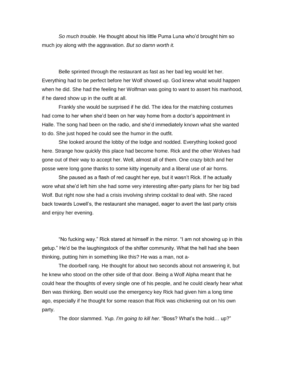*So much trouble.* He thought about his little Puma Luna who'd brought him so much joy along with the aggravation. *But so damn worth it.*

Belle sprinted through the restaurant as fast as her bad leg would let her. Everything had to be perfect before her Wolf showed up. God knew what would happen when he did. She had the feeling her Wolfman was going to want to assert his manhood, if he dared show up in the outfit at all.

Frankly she would be surprised if he did. The idea for the matching costumes had come to her when she'd been on her way home from a doctor's appointment in Halle. The song had been on the radio, and she'd immediately known what she wanted to do. She just hoped he could see the humor in the outfit.

She looked around the lobby of the lodge and nodded. Everything looked good here. Strange how quickly this place had become home. Rick and the other Wolves had gone out of their way to accept her. Well, almost all of them. One crazy bitch and her posse were long gone thanks to some kitty ingenuity and a liberal use of air horns.

She paused as a flash of red caught her eye, but it wasn't Rick. If he actually wore what she'd left him she had some very interesting after-party plans for her big bad Wolf. But right now she had a crisis involving shrimp cocktail to deal with. She raced back towards Lowell's, the restaurant she managed, eager to avert the last party crisis and enjoy her evening.

"No fucking way." Rick stared at himself in the mirror. "I am not showing up in this getup." He'd be the laughingstock of the shifter community. What the hell had she been thinking, putting him in something like this? He was a man, not a-

The doorbell rang. He thought for about two seconds about not answering it, but he knew who stood on the other side of that door. Being a Wolf Alpha meant that he could hear the thoughts of every single one of his people, and he could clearly hear what Ben was thinking. Ben would use the emergency key Rick had given him a long time ago, especially if he thought for some reason that Rick was chickening out on his own party.

The door slammed. *Yup. I'm going to kill her.* "Boss? What's the hold… up?"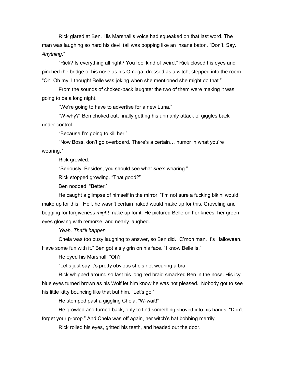Rick glared at Ben. His Marshall's voice had squeaked on that last word. The man was laughing so hard his devil tail was bopping like an insane baton. "Don't. Say. *Anything*."

"Rick? Is everything all right? You feel kind of weird." Rick closed his eyes and pinched the bridge of his nose as his Omega, dressed as a witch, stepped into the room. "Oh. Oh my. I thought Belle was joking when she mentioned she might do that."

From the sounds of choked-back laughter the two of them were making it was going to be a long night.

"We're going to have to advertise for a new Luna."

"W-why?" Ben choked out, finally getting his unmanly attack of giggles back under control.

"Because I'm going to kill her."

"Now Boss, don't go overboard. There's a certain… humor in what you're wearing."

Rick growled.

"Seriously. Besides, you should see what *she's* wearing."

Rick stopped growling. "That good?"

Ben nodded. "Better."

He caught a glimpse of himself in the mirror. "I'm not sure a fucking bikini would make up for this." Hell, he wasn't certain naked would make up for this. Groveling and begging for forgiveness *might* make up for it. He pictured Belle on her knees, her green eyes glowing with remorse, and nearly laughed.

*Yeah. That'll happen.*

Chela was too busy laughing to answer, so Ben did. "C'mon man. It's Halloween. Have some fun with it." Ben got a sly grin on his face. "I know Belle is."

He eyed his Marshall. "Oh?"

"Let's just say it's pretty obvious she's not wearing a bra."

Rick whipped around so fast his long red braid smacked Ben in the nose. His icy blue eyes turned brown as his Wolf let him know he was not pleased. Nobody got to see his little kitty bouncing like that but him. "Let's go."

He stomped past a giggling Chela. "W-wait!"

He growled and turned back, only to find something shoved into his hands. "Don't forget your p-prop." And Chela was off again, her witch's hat bobbing merrily.

Rick rolled his eyes, gritted his teeth, and headed out the door.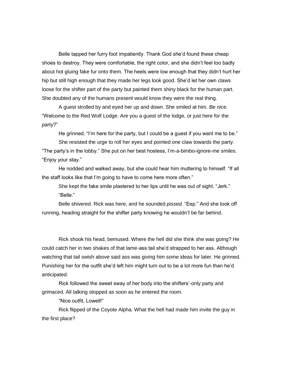Belle tapped her furry foot impatiently. Thank God she'd found these cheap shoes to destroy. They were comfortable, the right color, and she didn't feel too badly about hot gluing fake fur onto them. The heels were low enough that they didn't hurt her hip but still high enough that they made her legs look good. She'd let her own claws loose for the shifter part of the party but painted them shiny black for the human part. She doubted any of the humans present would know they were the real thing.

A guest strolled by and eyed her up and down. She smiled at him. *Be nice.*  "Welcome to the Red Wolf Lodge. Are you a guest of the lodge, or just here for the party?"

He grinned. "I'm here for the party, but I could be a guest if you want me to be."

She resisted the urge to roll her eyes and pointed one claw towards the party. "The party's in the lobby." She put on her best hostess, I'm-a-bimbo-ignore-me smiles. "Enjoy your stay."

He nodded and walked away, but she could hear him muttering to himself. "If all the staff looks like that I'm going to have to come here more often."

She kept the fake smile plastered to her lips until he was out of sight. "Jerk." "Belle."

Belle shivered. Rick was here, and he sounded *pissed.* "Eep." And she took off running, heading straight for the shifter party knowing he wouldn't be far behind.

Rick shook his head, bemused. Where the hell did she think she was going? He could catch her in two shakes of that lame-ass tail she'd strapped to her ass. Although watching that tail swish above said ass was giving him some ideas for later. He grinned. Punishing her for the outfit she'd left him might turn out to be a lot more fun than he'd anticipated.

Rick followed the sweet sway of her body into the shifters'-only party and grimaced. All talking stopped as soon as he entered the room.

"Nice outfit, Lowell!"

Rick flipped of the Coyote Alpha. What the hell had made him invite the guy in the first place?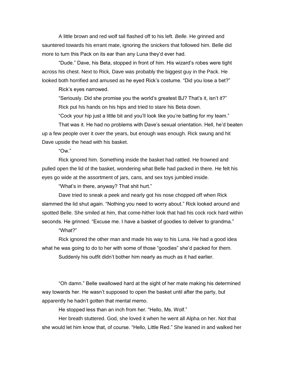A little brown and red wolf tail flashed off to his left. *Belle.* He grinned and sauntered towards his errant mate, ignoring the snickers that followed him. Belle did more to turn this Pack on its ear than any Luna they'd ever had.

"Dude." Dave, his Beta, stopped in front of him. His wizard's robes were tight across his chest. Next to Rick, Dave was probably the biggest guy in the Pack. He looked both horrified and amused as he eyed Rick's costume. "Did you lose a bet?"

Rick's eyes narrowed.

"Seriously. Did she promise you the world's greatest BJ? That's it, isn't it?" Rick put his hands on his hips and tried to stare his Beta down.

"Cock your hip just a little bit and you'll look like you're batting for my team."

That was it. He had no problems with Dave's sexual orientation. Hell, he'd beaten up a few people over it over the years, but enough was enough. Rick swung and hit Dave upside the head with his basket.

" $OW$ "

Rick ignored him. Something inside the basket had rattled. He frowned and pulled open the lid of the basket, wondering what Belle had packed in there. He felt his eyes go wide at the assortment of jars, cans, and sex toys jumbled inside.

"What's in there, anyway? That shit hurt."

Dave tried to sneak a peek and nearly got his nose chopped off when Rick slammed the lid shut again. "Nothing you need to worry about." Rick looked around and spotted Belle. She smiled at him, that come-hither look that had his cock rock hard within seconds. He grinned. "Excuse me. I have a basket of goodies to deliver to grandma."

"What?"

Rick ignored the other man and made his way to his Luna. He had a good idea what he was going to do to her with some of those "goodies" she'd packed for them.

Suddenly his outfit didn't bother him nearly as much as it had earlier.

"Oh damn." Belle swallowed hard at the sight of her mate making his determined way towards her. He wasn't supposed to open the basket until after the party, but apparently he hadn't gotten that mental memo.

He stopped less than an inch from her. "Hello, Ms. Wolf."

Her breath stuttered. God, she loved it when he went all Alpha on her. Not that she would let him know that, of course. "Hello, Little Red." She leaned in and walked her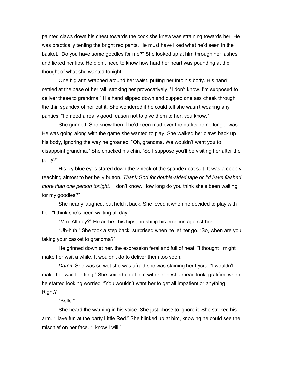painted claws down his chest towards the cock she knew was straining towards her. He was practically tenting the bright red pants. He must have liked what he'd seen in the basket. "Do you have some goodies for me?" She looked up at him through her lashes and licked her lips. He didn't need to know how hard her heart was pounding at the thought of what she wanted tonight.

One big arm wrapped around her waist, pulling her into his body. His hand settled at the base of her tail, stroking her provocatively. "I don't know. I'm supposed to deliver these to grandma." His hand slipped down and cupped one ass cheek through the thin spandex of her outfit. She wondered if he could tell she wasn't wearing any panties. "I'd need a really good reason not to give them to her, you know."

She grinned. She knew then if he'd been mad over the outfits he no longer was. He was going along with the game she wanted to play. She walked her claws back up his body, ignoring the way he groaned. "Oh, grandma. We wouldn't want you to disappoint grandma." She chucked his chin. "So I suppose you'll be visiting her after the party?"

His icy blue eyes stared down the v-neck of the spandex cat suit. It was a deep v, reaching almost to her belly button. *Thank God for double-sided tape or I'd have flashed more than one person tonight.* "I don't know. How long do you think she's been waiting for my goodies?"

She nearly laughed, but held it back. She loved it when he decided to play with her. "I think she's been waiting all day."

"Mm. All day?" He arched his hips, brushing his erection against her.

"Uh-huh." She took a step back, surprised when he let her go. "So, when are you taking your basket to grandma?"

He grinned down at her, the expression feral and full of heat. "I thought I might make her wait a while. It wouldn't do to deliver them too soon."

*Damn.* She was so wet she was afraid she was staining her Lycra. "I wouldn't make her wait too long." She smiled up at him with her best airhead look, gratified when he started looking worried. "You wouldn't want her to get all impatient or anything. Right?"

"Belle."

She heard the warning in his voice. She just chose to ignore it. She stroked his arm. "Have fun at the party Little Red." She blinked up at him, knowing he could see the mischief on her face. "I know I will."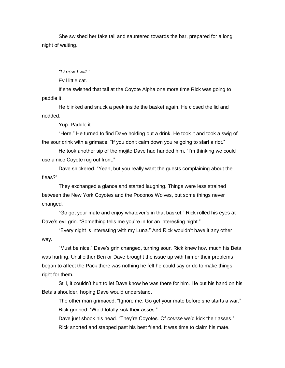She swished her fake tail and sauntered towards the bar, prepared for a long night of waiting.

*"I know I will."*

Evil little cat.

If she swished that tail at the Coyote Alpha one more time Rick was going to paddle it.

He blinked and snuck a peek inside the basket again. He closed the lid and nodded.

Yup. Paddle it.

"Here." He turned to find Dave holding out a drink. He took it and took a swig of the sour drink with a grimace. "If you don't calm down you're going to start a riot."

He took another sip of the mojito Dave had handed him. "I'm thinking we could use a nice Coyote rug out front."

Dave snickered. "Yeah, but you really want the guests complaining about the fleas?"

They exchanged a glance and started laughing. Things were less strained between the New York Coyotes and the Poconos Wolves, but some things never changed.

"Go get your mate and enjoy whatever's in that basket." Rick rolled his eyes at Dave's evil grin. "Something tells me you're in for an interesting night."

"Every night is interesting with my Luna." And Rick wouldn't have it any other way.

"Must be nice." Dave's grin changed, turning sour. Rick knew how much his Beta was hurting. Until either Ben or Dave brought the issue up with him or their problems began to affect the Pack there was nothing he felt he could say or do to make things right for them.

Still, it couldn't hurt to let Dave know he was there for him. He put his hand on his Beta's shoulder, hoping Dave would understand.

The other man grimaced. "Ignore me. Go get your mate before she starts a war." Rick grinned. "We'd totally kick their asses."

Dave just shook his head. "They're Coyotes. Of *course* we'd kick their asses."

Rick snorted and stepped past his best friend. It was time to claim his mate.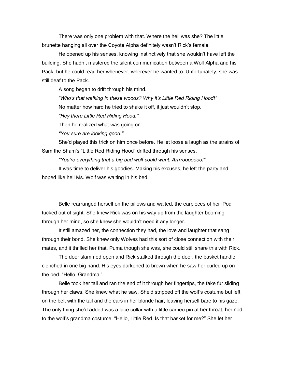There was only one problem with that. Where the hell was she? The little brunette hanging all over the Coyote Alpha definitely wasn't Rick's female.

He opened up his senses, knowing instinctively that she wouldn't have left the building. She hadn't mastered the silent communication between a Wolf Alpha and his Pack, but he could read her whenever, wherever he wanted to. Unfortunately, she was still deaf to the Pack.

A song began to drift through his mind.

*"Who's that walking in these woods? Why it's Little Red Riding Hood!"*

No matter how hard he tried to shake it off, it just wouldn't stop.

*"Hey there Little Red Riding Hood."*

Then he realized what was going on.

*"You sure are looking good."*

She'd played this trick on him once before. He let loose a laugh as the strains of Sam the Sham's "Little Red Riding Hood" drifted through his senses.

*"You're everything that a big bad wolf could want. Arrrrooooooo!"*

It was time to deliver his goodies. Making his excuses, he left the party and hoped like hell Ms. Wolf was waiting in his bed.

Belle rearranged herself on the pillows and waited, the earpieces of her iPod tucked out of sight. She knew Rick was on his way up from the laughter booming through her mind, so she knew she wouldn't need it any longer.

It still amazed her, the connection they had, the love and laughter that sang through their bond. She knew only Wolves had this sort of close connection with their mates, and it thrilled her that, Puma though she was, she could still share this with Rick.

The door slammed open and Rick stalked through the door, the basket handle clenched in one big hand. His eyes darkened to brown when he saw her curled up on the bed. "Hello, Grandma."

Belle took her tail and ran the end of it through her fingertips, the fake fur sliding through her claws. She knew what he saw. She'd stripped off the wolf's costume but left on the belt with the tail and the ears in her blonde hair, leaving herself bare to his gaze. The only thing she'd added was a lace collar with a little cameo pin at her throat, her nod to the wolf's grandma costume. "Hello, Little Red. Is that basket for me?" She let her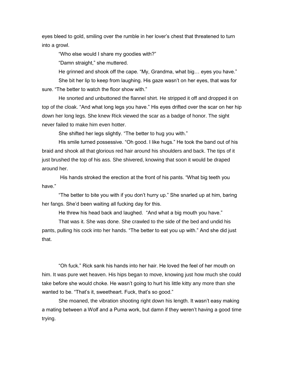eyes bleed to gold, smiling over the rumble in her lover's chest that threatened to turn into a growl.

"Who else would I share my goodies with?"

"Damn straight," she muttered.

He grinned and shook off the cape. "My, Grandma, what big… eyes you have."

She bit her lip to keep from laughing. His gaze wasn't on her eyes, that was for sure. "The better to watch the floor show with."

He snorted and unbuttoned the flannel shirt. He stripped it off and dropped it on top of the cloak. "And what long legs you have." His eyes drifted over the scar on her hip down her long legs. She knew Rick viewed the scar as a badge of honor. The sight never failed to make him even hotter.

She shifted her legs slightly. "The better to hug you with."

His smile turned possessive. "Oh good. I like hugs." He took the band out of his braid and shook all that glorious red hair around his shoulders and back. The tips of it just brushed the top of his ass. She shivered, knowing that soon it would be draped around her.

His hands stroked the erection at the front of his pants. "What big teeth you have."

"The better to bite you with if you don't hurry up." She snarled up at him, baring her fangs. She'd been waiting all fucking day for this.

He threw his head back and laughed. "And what a big mouth you have."

That was it. She was done. She crawled to the side of the bed and undid his pants, pulling his cock into her hands. "The better to eat you up with." And she did just that.

"Oh fuck." Rick sank his hands into her hair. He loved the feel of her mouth on him. It was pure wet heaven. His hips began to move, knowing just how much she could take before she would choke. He wasn't going to hurt his little kitty any more than she wanted to be. "That's it, sweetheart. Fuck, that's so good."

She moaned, the vibration shooting right down his length. It wasn't easy making a mating between a Wolf and a Puma work, but damn if they weren't having a good time trying.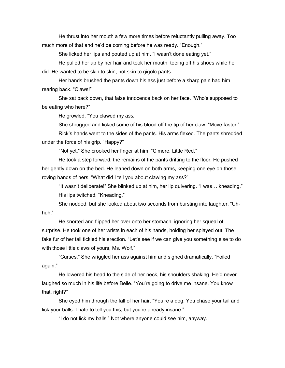He thrust into her mouth a few more times before reluctantly pulling away. Too much more of that and he'd be coming before he was ready. "Enough."

She licked her lips and pouted up at him. "I wasn't done eating yet."

He pulled her up by her hair and took her mouth, toeing off his shoes while he did. He wanted to be skin to skin, not skin to gigolo pants.

Her hands brushed the pants down his ass just before a sharp pain had him rearing back. "Claws!"

She sat back down, that false innocence back on her face. "Who's supposed to be eating who here?"

He growled. "You clawed my *ass.*"

She shrugged and licked some of his blood off the tip of her claw. "Move faster."

Rick's hands went to the sides of the pants. His arms flexed. The pants shredded under the force of his grip. "Happy?"

"Not yet." She crooked her finger at him. "C'mere, Little Red."

He took a step forward, the remains of the pants drifting to the floor. He pushed her gently down on the bed. He leaned down on both arms, keeping one eye on those roving hands of hers. "What did I tell you about clawing my ass?"

"It wasn't deliberate!" She blinked up at him, her lip quivering. "I was… kneading." His lips twitched. "Kneading."

She nodded, but she looked about two seconds from bursting into laughter. "Uhhuh."

He snorted and flipped her over onto her stomach, ignoring her squeal of surprise. He took one of her wrists in each of his hands, holding her splayed out. The fake fur of her tail tickled his erection. "Let's see if we can give you something else to do with those little claws of yours, Ms. Wolf."

"Curses." She wriggled her ass against him and sighed dramatically. "Foiled again."

He lowered his head to the side of her neck, his shoulders shaking. He'd never laughed so much in his life before Belle. "You're going to drive me insane. You know that, right?"

She eyed him through the fall of her hair. "You're a dog. You chase your tail and lick your balls. I hate to tell you this, but you're already insane."

"I do not lick my balls." Not where anyone could see him, anyway.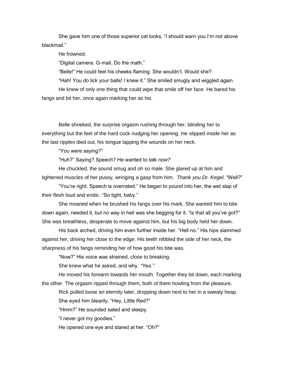She gave him one of those superior cat looks. "I should warn you I'm not above blackmail."

He frowned.

"Digital camera. G-mail. Do the math."

"Belle!" He could feel his cheeks flaming. She wouldn't. Would she?

"Hah! You *do* lick your balls! I knew it." She smiled smugly and wiggled again.

He knew of only one thing that could wipe that smile off her face. He bared his fangs and bit her, once again marking her as his.

Belle shrieked, the surprise orgasm rushing through her, blinding her to everything but the feel of the hard cock nudging her opening. He slipped inside her as the last ripples died out, his tongue lapping the wounds on her neck.

"You were saying?"

"Huh?" Saying? Speech? He wanted to talk *now?*

He chuckled, the sound smug and oh so male. She glared up at him and tightened muscles of her pussy, wringing a gasp from him. *Thank you Dr. Kegel.* "Well?"

"You're right. Speech is overrated." He began to pound into her, the wet slap of their flesh loud and erotic. "So tight, baby."

She moaned when he brushed his fangs over his mark. She wanted him to bite down again, needed it, but no way in hell was she begging for it. "Is that all you've got?" She was breathless, desperate to move against him, but his big body held her down.

His back arched, driving him even further inside her. "Hell no." His hips slammed against her, driving her close to the edge. His teeth nibbled the side of her neck, the sharpness of his fangs reminding her of how good his bite was.

"Now?" His voice was strained, close to breaking.

She knew what he asked, and why. *"Yes."*

He moved his forearm towards her mouth. Together they bit down, each marking the other. The orgasm ripped through them, both of them howling from the pleasure.

Rick pulled loose an eternity later, dropping down next to her in a sweaty heap.

She eyed him blearily. "Hey, Little Red?"

"Hmm?" He sounded sated and sleepy.

"I never got my goodies."

He opened one eye and stared at her. "Oh?"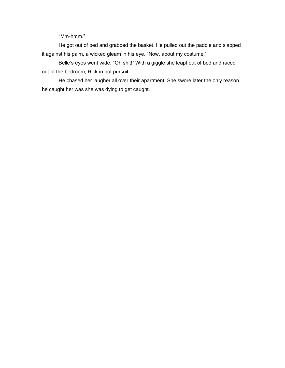"Mm-hmm."

He got out of bed and grabbed the basket. He pulled out the paddle and slapped it against his palm, a wicked gleam in his eye. "Now, about my costume."

Belle's eyes went wide. "Oh shit!" With a giggle she leapt out of bed and raced out of the bedroom, Rick in hot pursuit.

He chased her laugher all over their apartment. She swore later the only reason he caught her was she was dying to get caught.